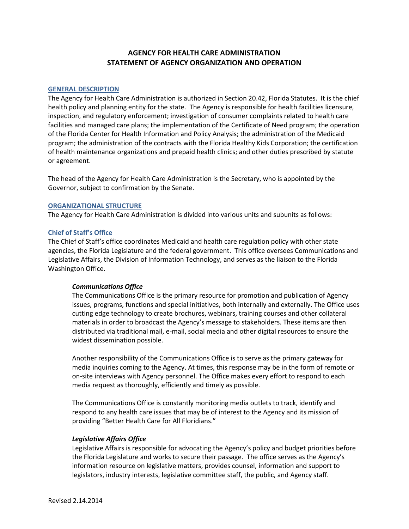# **AGENCY FOR HEALTH CARE ADMINISTRATION STATEMENT OF AGENCY ORGANIZATION AND OPERATION**

## **GENERAL DESCRIPTION**

The Agency for Health Care Administration is authorized in Section 20.42, Florida Statutes. It is the chief health policy and planning entity for the state. The Agency is responsible for health facilities licensure, inspection, and regulatory enforcement; investigation of consumer complaints related to health care facilities and managed care plans; the implementation of the Certificate of Need program; the operation of the Florida Center for Health Information and Policy Analysis; the administration of the Medicaid program; the administration of the contracts with the Florida Healthy Kids Corporation; the certification of health maintenance organizations and prepaid health clinics; and other duties prescribed by statute or agreement.

The head of the Agency for Health Care Administration is the Secretary, who is appointed by the Governor, subject to confirmation by the Senate.

## **ORGANIZATIONAL STRUCTURE**

The Agency for Health Care Administration is divided into various units and subunits as follows:

## **Chief of Staff's Office**

The Chief of Staff's office coordinates Medicaid and health care regulation policy with other state agencies, the Florida Legislature and the federal government. This office oversees Communications and Legislative Affairs, the Division of Information Technology, and serves as the liaison to the Florida Washington Office.

# *Communications Office*

The Communications Office is the primary resource for promotion and publication of Agency issues, programs, functions and special initiatives, both internally and externally. The Office uses cutting edge technology to create brochures, webinars, training courses and other collateral materials in order to broadcast the Agency's message to stakeholders. These items are then distributed via traditional mail, e-mail, social media and other digital resources to ensure the widest dissemination possible.

Another responsibility of the Communications Office is to serve as the primary gateway for media inquiries coming to the Agency. At times, this response may be in the form of remote or on-site interviews with Agency personnel. The Office makes every effort to respond to each media request as thoroughly, efficiently and timely as possible.

The Communications Office is constantly monitoring media outlets to track, identify and respond to any health care issues that may be of interest to the Agency and its mission of providing "Better Health Care for All Floridians."

## *Legislative Affairs Office*

Legislative Affairs is responsible for advocating the Agency's policy and budget priorities before the Florida Legislature and works to secure their passage. The office serves as the Agency's information resource on legislative matters, provides counsel, information and support to legislators, industry interests, legislative committee staff, the public, and Agency staff.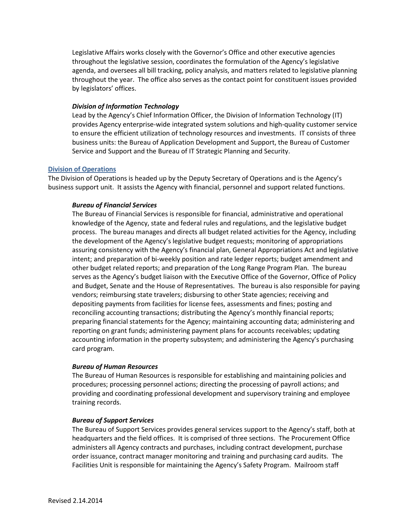Legislative Affairs works closely with the Governor's Office and other executive agencies throughout the legislative session, coordinates the formulation of the Agency's legislative agenda, and oversees all bill tracking, policy analysis, and matters related to legislative planning throughout the year. The office also serves as the contact point for constituent issues provided by legislators' offices.

## *Division of Information Technology*

Lead by the Agency's Chief Information Officer, the Division of Information Technology (IT) provides Agency enterprise-wide integrated system solutions and high-quality customer service to ensure the efficient utilization of technology resources and investments. IT consists of three business units: the Bureau of Application Development and Support, the Bureau of Customer Service and Support and the Bureau of IT Strategic Planning and Security.

## **Division of Operations**

The Division of Operations is headed up by the Deputy Secretary of Operations and is the Agency's business support unit. It assists the Agency with financial, personnel and support related functions.

## *Bureau of Financial Services*

The Bureau of Financial Services is responsible for financial, administrative and operational knowledge of the Agency, state and federal rules and regulations, and the legislative budget process. The bureau manages and directs all budget related activities for the Agency, including the development of the Agency's legislative budget requests; monitoring of appropriations assuring consistency with the Agency's financial plan, General Appropriations Act and legislative intent; and preparation of bi-weekly position and rate ledger reports; budget amendment and other budget related reports; and preparation of the Long Range Program Plan. The bureau serves as the Agency's budget liaison with the Executive Office of the Governor, Office of Policy and Budget, Senate and the House of Representatives. The bureau is also responsible for paying vendors; reimbursing state travelers; disbursing to other State agencies; receiving and depositing payments from facilities for license fees, assessments and fines; posting and reconciling accounting transactions; distributing the Agency's monthly financial reports; preparing financial statements for the Agency; maintaining accounting data; administering and reporting on grant funds; administering payment plans for accounts receivables; updating accounting information in the property subsystem; and administering the Agency's purchasing card program.

## *Bureau of Human Resources*

The Bureau of Human Resources is responsible for establishing and maintaining policies and procedures; processing personnel actions; directing the processing of payroll actions; and providing and coordinating professional development and supervisory training and employee training records.

## *Bureau of Support Services*

The Bureau of Support Services provides general services support to the Agency's staff, both at headquarters and the field offices. It is comprised of three sections. The Procurement Office administers all Agency contracts and purchases, including contract development, purchase order issuance, contract manager monitoring and training and purchasing card audits. The Facilities Unit is responsible for maintaining the Agency's Safety Program. Mailroom staff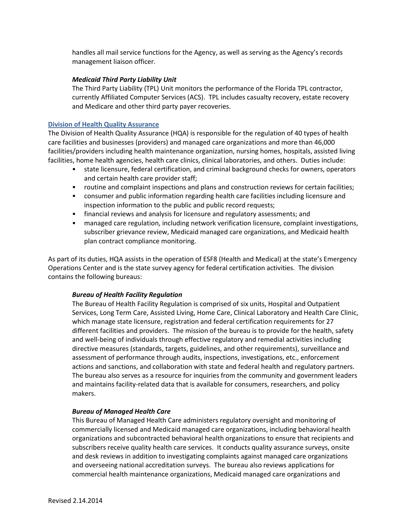handles all mail service functions for the Agency, as well as serving as the Agency's records management liaison officer.

## *Medicaid Third Party Liability Unit*

The Third Party Liability (TPL) Unit monitors the performance of the Florida TPL contractor, currently Affiliated Computer Services (ACS). TPL includes casualty recovery, estate recovery and Medicare and other third party payer recoveries.

## **Division of Health Quality Assurance**

The Division of Health Quality Assurance (HQA) is responsible for the regulation of 40 types of health care facilities and businesses (providers) and managed care organizations and more than 46,000 facilities/providers including health maintenance organization, nursing homes, hospitals, assisted living facilities, home health agencies, health care clinics, clinical laboratories, and others. Duties include:

- state licensure, federal certification, and criminal background checks for owners, operators and certain health care provider staff;
- routine and complaint inspections and plans and construction reviews for certain facilities;
- consumer and public information regarding health care facilities including licensure and inspection information to the public and public record requests;
- financial reviews and analysis for licensure and regulatory assessments; and
- managed care regulation, including network verification licensure, complaint investigations, subscriber grievance review, Medicaid managed care organizations, and Medicaid health plan contract compliance monitoring.

As part of its duties, HQA assists in the operation of ESF8 (Health and Medical) at the state's Emergency Operations Center and is the state survey agency for federal certification activities. The division contains the following bureaus:

# *Bureau of Health Facility Regulation*

The Bureau of Health Facility Regulation is comprised of six units, Hospital and Outpatient Services, Long Term Care, Assisted Living, Home Care, Clinical Laboratory and Health Care Clinic, which manage state licensure, registration and federal certification requirements for 27 different facilities and providers. The mission of the bureau is to provide for the health, safety and well-being of individuals through effective regulatory and remedial activities including directive measures (standards, targets, guidelines, and other requirements), surveillance and assessment of performance through audits, inspections, investigations, etc., enforcement actions and sanctions, and collaboration with state and federal health and regulatory partners. The bureau also serves as a resource for inquiries from the community and government leaders and maintains facility-related data that is available for consumers, researchers, and policy makers.

# *Bureau of Managed Health Care*

This Bureau of Managed Health Care administers regulatory oversight and monitoring of commercially licensed and Medicaid managed care organizations, including behavioral health organizations and subcontracted behavioral health organizations to ensure that recipients and subscribers receive quality health care services. It conducts quality assurance surveys, onsite and desk reviews in addition to investigating complaints against managed care organizations and overseeing national accreditation surveys. The bureau also reviews applications for commercial health maintenance organizations, Medicaid managed care organizations and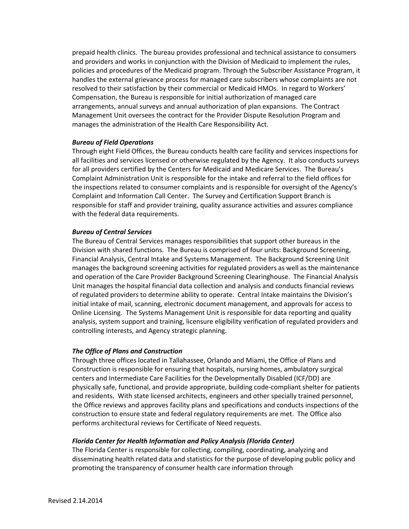prepaid health clinics. The bureau provides professional and technical assistance to consumers and providers and works in conjunction with the Division of Medicaid to implement the rules, policies and procedures of the Medicaid program. Through the Subscriber Assistance Program, it handles the external grievance process for managed care subscribers whose complaints are not resolved to their satisfaction by their commercial or Medicaid HMOs. In regard to Workers' Compensation, the Bureau is responsible for initial authorization of managed care arrangements, annual surveys and annual authorization of plan expansions. The Contract Management Unit oversees the contract for the Provider Dispute Resolution Program and manages the administration of the Health Care Responsibility Act.

## *Bureau of Field Operations*

Through eight Field Offices, the Bureau conducts health care facility and services inspections for all facilities and services licensed or otherwise regulated by the Agency. It also conducts surveys for all providers certified by the Centers for Medicaid and Medicare Services. The Bureau's Complaint Administration Unit is responsible for the intake and referral to the field offices for the inspections related to consumer complaints and is responsible for oversight of the Agency's Complaint and Information Call Center. The Survey and Certification Support Branch is responsible for staff and provider training, quality assurance activities and assures compliance with the federal data requirements.

## *Bureau of Central Services*

The Bureau of Central Services manages responsibilities that support other bureaus in the Division with shared functions. The Bureau is comprised of four units: Background Screening, Financial Analysis, Central Intake and Systems Management. The Background Screening Unit manages the background screening activities for regulated providers as well as the maintenance and operation of the Care Provider Background Screening Clearinghouse. The Financial Analysis Unit manages the hospital financial data collection and analysis and conducts financial reviews of regulated providers to determine ability to operate. Central Intake maintains the Division's initial intake of mail, scanning, electronic document management, and approvals for access to Online Licensing. The Systems Management Unit is responsible for data reporting and quality analysis, system support and training, licensure eligibility verification of regulated providers and controlling interests, and Agency strategic planning.

# *The Office of Plans and Construction*

Through three offices located in Tallahassee, Orlando and Miami, the Office of Plans and Construction is responsible for ensuring that hospitals, nursing homes, ambulatory surgical centers and Intermediate Care Facilities for the Developmentally Disabled (ICF/DD) are physically safe, functional, and provide appropriate, building code-compliant shelter for patients and residents. With state licensed architects, engineers and other specially trained personnel, the Office reviews and approves facility plans and specifications and conducts inspections of the construction to ensure state and federal regulatory requirements are met. The Office also performs architectural reviews for Certificate of Need requests.

# *Florida Center for Health Information and Policy Analysis (Florida Center)*

The Florida Center is responsible for collecting, compiling, coordinating, analyzing and disseminating health related data and statistics for the purpose of developing public policy and promoting the transparency of consumer health care information through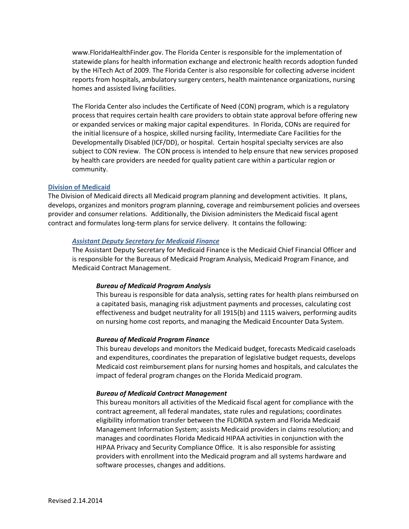www.FloridaHealthFinder.gov. The Florida Center is responsible for the implementation of statewide plans for health information exchange and electronic health records adoption funded by the HiTech Act of 2009. The Florida Center is also responsible for collecting adverse incident reports from hospitals, ambulatory surgery centers, health maintenance organizations, nursing homes and assisted living facilities.

The Florida Center also includes the Certificate of Need (CON) program, which is a regulatory process that requires certain health care providers to obtain state approval before offering new or expanded services or making major capital expenditures. In Florida, CONs are required for the initial licensure of a hospice, skilled nursing facility, Intermediate Care Facilities for the Developmentally Disabled (ICF/DD), or hospital. Certain hospital specialty services are also subject to CON review. The CON process is intended to help ensure that new services proposed by health care providers are needed for quality patient care within a particular region or community.

### **Division of Medicaid**

The Division of Medicaid directs all Medicaid program planning and development activities. It plans, develops, organizes and monitors program planning, coverage and reimbursement policies and oversees provider and consumer relations. Additionally, the Division administers the Medicaid fiscal agent contract and formulates long-term plans for service delivery. It contains the following:

#### *Assistant Deputy Secretary for Medicaid Finance*

The Assistant Deputy Secretary for Medicaid Finance is the Medicaid Chief Financial Officer and is responsible for the Bureaus of Medicaid Program Analysis, Medicaid Program Finance, and Medicaid Contract Management.

#### *Bureau of Medicaid Program Analysis*

This bureau is responsible for data analysis, setting rates for health plans reimbursed on a capitated basis, managing risk adjustment payments and processes, calculating cost effectiveness and budget neutrality for all 1915(b) and 1115 waivers, performing audits on nursing home cost reports, and managing the Medicaid Encounter Data System.

#### *Bureau of Medicaid Program Finance*

This bureau develops and monitors the Medicaid budget, forecasts Medicaid caseloads and expenditures, coordinates the preparation of legislative budget requests, develops Medicaid cost reimbursement plans for nursing homes and hospitals, and calculates the impact of federal program changes on the Florida Medicaid program.

#### *Bureau of Medicaid Contract Management*

This bureau monitors all activities of the Medicaid fiscal agent for compliance with the contract agreement, all federal mandates, state rules and regulations; coordinates eligibility information transfer between the FLORIDA system and Florida Medicaid Management Information System; assists Medicaid providers in claims resolution; and manages and coordinates Florida Medicaid HIPAA activities in conjunction with the HIPAA Privacy and Security Compliance Office. It is also responsible for assisting providers with enrollment into the Medicaid program and all systems hardware and software processes, changes and additions.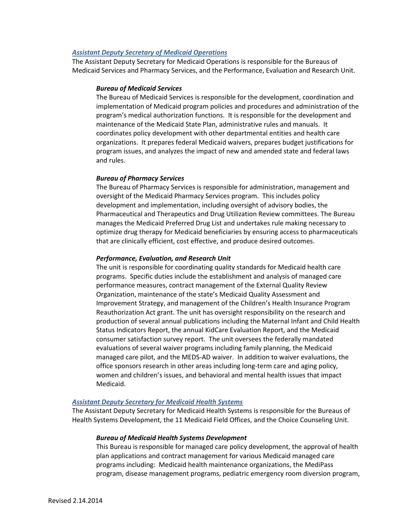## *Assistant Deputy Secretary of Medicaid Operations*

The Assistant Deputy Secretary for Medicaid Operations is responsible for the Bureaus of Medicaid Services and Pharmacy Services, and the Performance, Evaluation and Research Unit.

## *Bureau of Medicaid Services*

The Bureau of Medicaid Services is responsible for the development, coordination and implementation of Medicaid program policies and procedures and administration of the program's medical authorization functions. It is responsible for the development and maintenance of the Medicaid State Plan, administrative rules and manuals. It coordinates policy development with other departmental entities and health care organizations. It prepares federal Medicaid waivers, prepares budget justifications for program issues, and analyzes the impact of new and amended state and federal laws and rules.

## *Bureau of Pharmacy Services*

The Bureau of Pharmacy Services is responsible for administration, management and oversight of the Medicaid Pharmacy Services program. This includes policy development and implementation, including oversight of advisory bodies, the Pharmaceutical and Therapeutics and Drug Utilization Review committees. The Bureau manages the Medicaid Preferred Drug List and undertakes rule making necessary to optimize drug therapy for Medicaid beneficiaries by ensuring access to pharmaceuticals that are clinically efficient, cost effective, and produce desired outcomes.

## *Performance, Evaluation, and Research Unit*

The unit is responsible for coordinating quality standards for Medicaid health care programs. Specific duties include the establishment and analysis of managed care performance measures, contract management of the External Quality Review Organization, maintenance of the state's Medicaid Quality Assessment and Improvement Strategy, and management of the Children's Health Insurance Program Reauthorization Act grant. The unit has oversight responsibility on the research and production of several annual publications including the Maternal Infant and Child Health Status Indicators Report, the annual KidCare Evaluation Report, and the Medicaid consumer satisfaction survey report. The unit oversees the federally mandated evaluations of several waiver programs including family planning, the Medicaid managed care pilot, and the MEDS-AD waiver. In addition to waiver evaluations, the office sponsors research in other areas including long-term care and aging policy, women and children's issues, and behavioral and mental health issues that impact Medicaid.

## *Assistant Deputy Secretary for Medicaid Health Systems*

The Assistant Deputy Secretary for Medicaid Health Systems is responsible for the Bureaus of Health Systems Development, the 11 Medicaid Field Offices, and the Choice Counseling Unit.

#### *Bureau of Medicaid Health Systems Development*

This Bureau is responsible for managed care policy development, the approval of health plan applications and contract management for various Medicaid managed care programs including: Medicaid health maintenance organizations, the MediPass program, disease management programs, pediatric emergency room diversion program,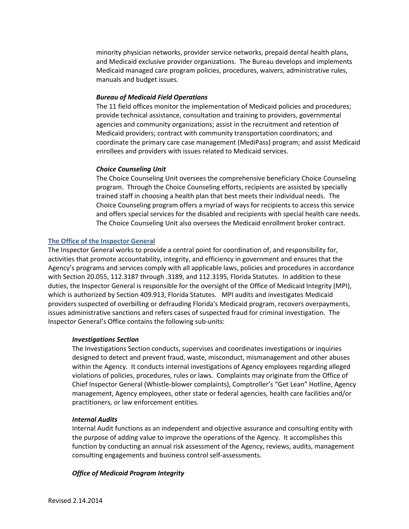minority physician networks, provider service networks, prepaid dental health plans, and Medicaid exclusive provider organizations. The Bureau develops and implements Medicaid managed care program policies, procedures, waivers, administrative rules, manuals and budget issues.

# *Bureau of Medicaid Field Operations*

The 11 field offices monitor the implementation of Medicaid policies and procedures; provide technical assistance, consultation and training to providers, governmental agencies and community organizations; assist in the recruitment and retention of Medicaid providers; contract with community transportation coordinators; and coordinate the primary care case management (MediPass) program; and assist Medicaid enrollees and providers with issues related to Medicaid services.

## *Choice Counseling Unit*

The Choice Counseling Unit oversees the comprehensive beneficiary Choice Counseling program. Through the Choice Counseling efforts, recipients are assisted by specially trained staff in choosing a health plan that best meets their individual needs. The Choice Counseling program offers a myriad of ways for recipients to access this service and offers special services for the disabled and recipients with special health care needs. The Choice Counseling Unit also oversees the Medicaid enrollment broker contract.

## **The Office of the Inspector General**

The Inspector General works to provide a central point for coordination of, and responsibility for, activities that promote accountability, integrity, and efficiency in government and ensures that the Agency's programs and services comply with all applicable laws, policies and procedures in accordance with Section 20.055, 112.3187 through .3189, and 112.3195, Florida Statutes. In addition to these duties, the Inspector General is responsible for the oversight of the Office of Medicaid Integrity (MPI), which is authorized by Section 409.913, Florida Statutes. MPI audits and investigates Medicaid providers suspected of overbilling or defrauding Florida's Medicaid program, recovers overpayments, issues administrative sanctions and refers cases of suspected fraud for criminal investigation. The Inspector General's Office contains the following sub-units:

## *Investigations Section*

The Investigations Section conducts, supervises and coordinates investigations or inquiries designed to detect and prevent fraud, waste, misconduct, mismanagement and other abuses within the Agency. It conducts internal investigations of Agency employees regarding alleged violations of policies, procedures, rules or laws. Complaints may originate from the Office of Chief Inspector General (Whistle-blower complaints), Comptroller's "Get Lean" Hotline, Agency management, Agency employees, other state or federal agencies, health care facilities and/or practitioners, or law enforcement entities.

## *Internal Audits*

Internal Audit functions as an independent and objective assurance and consulting entity with the purpose of adding value to improve the operations of the Agency. It accomplishes this function by conducting an annual risk assessment of the Agency, reviews, audits, management consulting engagements and business control self-assessments.

## *Office of Medicaid Program Integrity*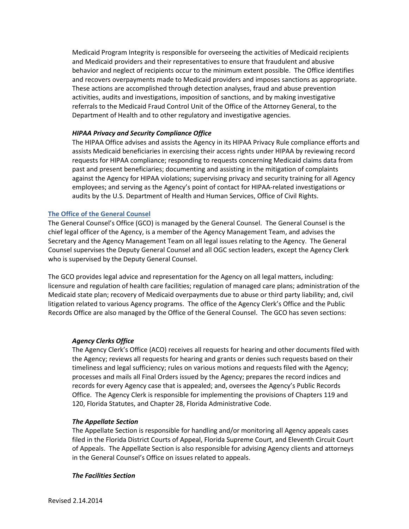Medicaid Program Integrity is responsible for overseeing the activities of Medicaid recipients and Medicaid providers and their representatives to ensure that fraudulent and abusive behavior and neglect of recipients occur to the minimum extent possible. The Office identifies and recovers overpayments made to Medicaid providers and imposes sanctions as appropriate. These actions are accomplished through detection analyses, fraud and abuse prevention activities, audits and investigations, imposition of sanctions, and by making investigative referrals to the Medicaid Fraud Control Unit of the Office of the Attorney General, to the Department of Health and to other regulatory and investigative agencies.

## *HIPAA Privacy and Security Compliance Office*

The HIPAA Office advises and assists the Agency in its HIPAA Privacy Rule compliance efforts and assists Medicaid beneficiaries in exercising their access rights under HIPAA by reviewing record requests for HIPAA compliance; responding to requests concerning Medicaid claims data from past and present beneficiaries; documenting and assisting in the mitigation of complaints against the Agency for HIPAA violations; supervising privacy and security training for all Agency employees; and serving as the Agency's point of contact for HIPAA-related investigations or audits by the U.S. Department of Health and Human Services, Office of Civil Rights.

## **The Office of the General Counsel**

The General Counsel's Office (GCO) is managed by the General Counsel. The General Counsel is the chief legal officer of the Agency, is a member of the Agency Management Team, and advises the Secretary and the Agency Management Team on all legal issues relating to the Agency. The General Counsel supervises the Deputy General Counsel and all OGC section leaders, except the Agency Clerk who is supervised by the Deputy General Counsel.

The GCO provides legal advice and representation for the Agency on all legal matters, including: licensure and regulation of health care facilities; regulation of managed care plans; administration of the Medicaid state plan; recovery of Medicaid overpayments due to abuse or third party liability; and, civil litigation related to various Agency programs. The office of the Agency Clerk's Office and the Public Records Office are also managed by the Office of the General Counsel. The GCO has seven sections:

## *Agency Clerks Office*

The Agency Clerk's Office (ACO) receives all requests for hearing and other documents filed with the Agency; reviews all requests for hearing and grants or denies such requests based on their timeliness and legal sufficiency; rules on various motions and requests filed with the Agency; processes and mails all Final Orders issued by the Agency; prepares the record indices and records for every Agency case that is appealed; and, oversees the Agency's Public Records Office. The Agency Clerk is responsible for implementing the provisions of Chapters 119 and 120, Florida Statutes, and Chapter 28, Florida Administrative Code.

## *The Appellate Section*

The Appellate Section is responsible for handling and/or monitoring all Agency appeals cases filed in the Florida District Courts of Appeal, Florida Supreme Court, and Eleventh Circuit Court of Appeals. The Appellate Section is also responsible for advising Agency clients and attorneys in the General Counsel's Office on issues related to appeals.

## *The Facilities Section*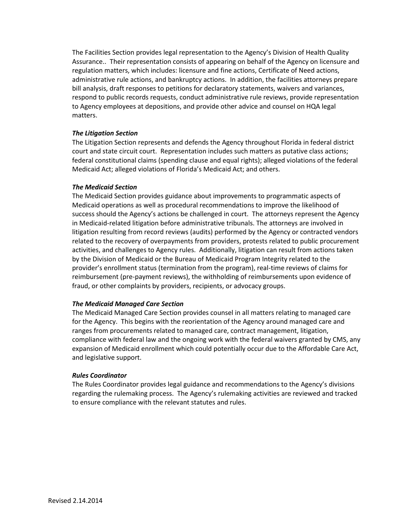The Facilities Section provides legal representation to the Agency's Division of Health Quality Assurance.. Their representation consists of appearing on behalf of the Agency on licensure and regulation matters, which includes: licensure and fine actions, Certificate of Need actions, administrative rule actions, and bankruptcy actions. In addition, the facilities attorneys prepare bill analysis, draft responses to petitions for declaratory statements, waivers and variances, respond to public records requests, conduct administrative rule reviews, provide representation to Agency employees at depositions, and provide other advice and counsel on HQA legal matters.

## *The Litigation Section*

The Litigation Section represents and defends the Agency throughout Florida in federal district court and state circuit court. Representation includes such matters as putative class actions; federal constitutional claims (spending clause and equal rights); alleged violations of the federal Medicaid Act; alleged violations of Florida's Medicaid Act; and others.

## *The Medicaid Section*

The Medicaid Section provides guidance about improvements to programmatic aspects of Medicaid operations as well as procedural recommendations to improve the likelihood of success should the Agency's actions be challenged in court. The attorneys represent the Agency in Medicaid-related litigation before administrative tribunals. The attorneys are involved in litigation resulting from record reviews (audits) performed by the Agency or contracted vendors related to the recovery of overpayments from providers, protests related to public procurement activities, and challenges to Agency rules. Additionally, litigation can result from actions taken by the Division of Medicaid or the Bureau of Medicaid Program Integrity related to the provider's enrollment status (termination from the program), real-time reviews of claims for reimbursement (pre-payment reviews), the withholding of reimbursements upon evidence of fraud, or other complaints by providers, recipients, or advocacy groups.

## *The Medicaid Managed Care Section*

The Medicaid Managed Care Section provides counsel in all matters relating to managed care for the Agency. This begins with the reorientation of the Agency around managed care and ranges from procurements related to managed care, contract management, litigation, compliance with federal law and the ongoing work with the federal waivers granted by CMS, any expansion of Medicaid enrollment which could potentially occur due to the Affordable Care Act, and legislative support.

## *Rules Coordinator*

The Rules Coordinator provides legal guidance and recommendations to the Agency's divisions regarding the rulemaking process. The Agency's rulemaking activities are reviewed and tracked to ensure compliance with the relevant statutes and rules.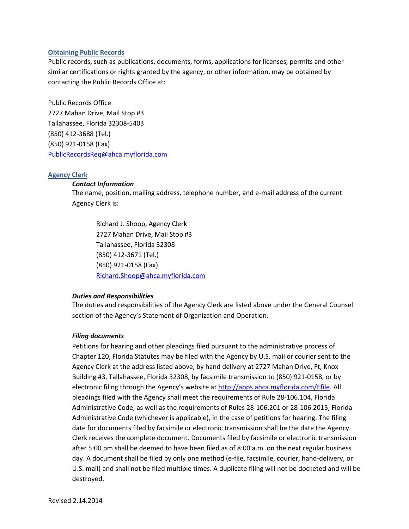## **Obtaining Public Records**

Public records, such as publications, documents, forms, applications for licenses, permits and other similar certifications or rights granted by the agency, or other information, may be obtained by contacting the Public Records Office at:

Public Records Office 2727 Mahan Drive, Mail Stop #3 Tallahassee, Florida 32308-5403 (850) 412-3688 (Tel.) (850) 921-0158 (Fax) [PublicRecordsReq@ahca.myflorida.com](mailto:PublicRecordsReq@ahca.myflorida.com)

## **Agency Clerk**

## *Contact Information*

The name, position, mailing address, telephone number, and e-mail address of the current Agency Clerk is:

Richard J. Shoop, Agency Clerk 2727 Mahan Drive, Mail Stop #3 Tallahassee, Florida 32308 (850) 412-3671 (Tel.) (850) 921-0158 (Fax) [Richard.Shoop@ahca.myflorida.com](mailto:Richard.Shoop@ahca.myflorida.com)

# *Duties and Responsibilities*

The duties and responsibilities of the Agency Clerk are listed above under the General Counsel section of the Agency's Statement of Organization and Operation.

## *Filing documents*

Petitions for hearing and other pleadings filed pursuant to the administrative process of Chapter 120, Florida Statutes may be filed with the Agency by U.S. mail or courier sent to the Agency Clerk at the address listed above, by hand delivery at 2727 Mahan Drive, Ft, Knox Building #3, Tallahassee, Florida 32308, by facsimile transmission to (850) 921-0158, or by electronic filing through the Agency's website at [http://apps.ahca.myflorida.com/Efile](http://apps.ahca.myflorida.com/efile). All pleadings filed with the Agency shall meet the requirements of Rule 28-106.104, Florida Administrative Code, as well as the requirements of Rules 28-106.201 or 28-106.2015, Florida Administrative Code (whichever is applicable), in the case of petitions for hearing. The filing date for documents filed by facsimile or electronic transmission shall be the date the Agency Clerk receives the complete document. Documents filed by facsimile or electronic transmission after 5:00 pm shall be deemed to have been filed as of 8:00 a.m. on the next regular business day. A document shall be filed by only one method (e-file, facsimile, courier, hand-delivery, or U.S. mail) and shall not be filed multiple times. A duplicate filing will not be docketed and will be destroyed.